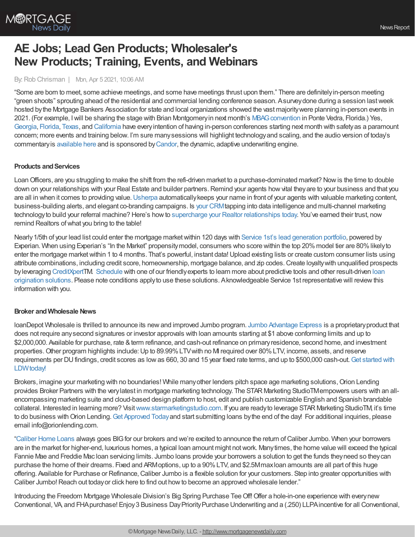

# **AE Jobs; Lead Gen Products; Wholesaler's New Products; Training, Events, and Webinars**

#### By:Rob Chrisman | Mon, Apr 5 2021, 10:06 AM

"Some are born to meet, some achieve meetings, and some have meetings thrust upon them." There are definitelyin-person meeting "green shoots" sprouting ahead of the residential and commercial lending conference season. Asurveydone during a session lastweek hosted bythe Mortgage Bankers Association for state and local organizations showed the vast majoritywere planning in-person events in 2021. (For example, Iwill be sharing the stage with Brian Montgomeryin next month's [MBAGconvention](https://www.mbagconvention.org/) in Ponte Vedra, Florida.) Yes, [Georgia](https://www.mbagconvention.org/), [Florida](https://mbaf.org/2021-secondary-and-convention/), [Texas](https://www.texasmba.org/convention/), and [California](https://westernsecondary.com/) have everyintention of having in-person conferences starting next month with safetyas a paramount concern; more events and training below. I'm sure manysessions will highlight technologyand scaling, and the audio version of today's commentaryis [available](https://linktr.ee/dailymortgagenews) here and is sponsored by[Candor](https://candortechnology.com/rchrisman-podcast), the dynamic, adaptive underwriting engine.

## **Products and Services**

Loan Officers, are you struggling to make the shift from the refi-driven market to a purchase-dominated market? Now is the time to double down on your relationships with your Real Estate and builder partners. Remind your agents how vital they are to your business and that you are all in when it comes to providing value. [Usherpa](https://bit.ly/2ILZqpY) automatically keeps your name in front of your agents with valuable marketing content, business-building alerts, and elegant co-branding campaigns. Is your [CRM](https://bit.ly/3cIoeeQ)tapping into data intelligence and multi-channel marketing technologyto build your referral machine? Here's howto supercharge your Realtor [relationships](http://bit.ly/3pbTi9P) today. You've earned their trust, now remind Realtors ofwhat you bring to the table!

Nearly 1/5th of your lead list could enter the mortgage market within 120 days with [Service](https://www.srv1st.com/) 1st's lead [generation](https://www.srv1st.com/leads) portfolio, powered by Experian. When using Experian's "In the Market" propensitymodel, consumers who score within the top 20%model tier are 80%likelyto enter the mortgage market within 1 to 4 months. That's powerful, instant data! Upload existing lists or create custom consumer lists using attribute combinations, including credit score, homeownership, mortgage balance, and zip codes.Create loyaltywith unqualified prospects byleveraging [CreditXpert](https://www.srv1st.com/creditxpert)TM. [Schedule](https://www.srv1st.com/schedule) with one of our friendlyexperts to learn more about predictive tools and other result-driven loan origination solutions. Please note conditions applyto use these solutions. [Aknowledgeable](https://www.srv1st.com/loan-origination) Service 1st representative will reviewthis information with you.

#### **Broker andWholesale News**

loanDepot Wholesale is thrilled to announce its newand improved Jumbo program. Jumbo [Advantage](https://portal.ldwholesale.com/portaldocs/product/LDW_Jumbo_Advantage.pdf) Express is a proprietaryproduct that does not require anysecond signatures or investor approvals with loan amounts starting at \$1 above conforming limits and up to \$2,000,000. Available for purchase, rate &term refinance, and cash-out refinance on primaryresidence, second home, and investment properties. Other program highlights include: Up to 89.99% LTV with no M required over 80% LTV, income, assets, and reserve requirements per DUfindings, credit scores as lowas 660, 30 and 15 year fixed rate terms, and up to \$500,000 [cash-out.Get](https://www.ldwholesale.com/getapproved) started with LDW<sub>today!</sub>

Brokers, imagine your marketing with no boundaries! While many other lenders pitch space age marketing solutions, Orion Lending provides Broker Partners with the verylatest in mortgage marketing technology. The STAR Marketing StudioTMempowers users with an allencompassing marketing suite and cloud-based design platform to host, edit and publish customizable English and Spanish brandable collateral. Interested in learning more? Visit[www.starmarketingstudio.com](http://www.starmarketingstudio.com/). If you are readyto leverage STAR Marketing StudioTM, it's time to do business with Orion Lending. Get [Approved](https://orionlending.com/Sign-Up) Today and start submitting loans by the end of the day! For additional inquiries, please email info@orionlending.com.

["Caliber](https://recruiting.adp.com/srccar/public/RTI.home?d=ExternalCaliberHomeLoans&_icx=v02Pg0E8dry77as%252F53w4AJaa70NZw%252Fw8fF8hbFO1EF85wLt9DxjYJuzTaiz3cC3bUG0&c=1060341&_dissimuloSSO=k81IQ_xGY14:XQC7YMN_-Mx6DdXOyW3KVTQohAw) Home Loans always goes BIGfor our brokers and we're excited to announce the return ofCaliber Jumbo. When your borrowers are in the market for higher-end, luxurious homes, a typical loan amount might notwork. Manytimes, the home value will exceed the typical Fannie Mae and Freddie Mac Ioan servicing limits. Jumbo Ioans provide your borrowers a solution to get the funds they need so they can purchase the home of their dreams. Fixed and ARMoptions, up to a 90%LTV, and \$2.5Mmaxloan amounts are all part of this huge offering. Available for Purchase or Refinance, Caliber Jumbo is a flexible solution for your customers. Step into greater opportunities with Caliber Jumbo! Reach out today or click here to find out how to become an approved wholesale lender."

Introducing the Freedom Mortgage Wholesale Division's Big Spring Purchase TeeOff!Offer a hole-in-one experience with everynew Conventional, VA, and FHA purchase! Enjoy 3 Business Day Priority Purchase Underwriting and a (.250) LLPA incentive for all Conventional,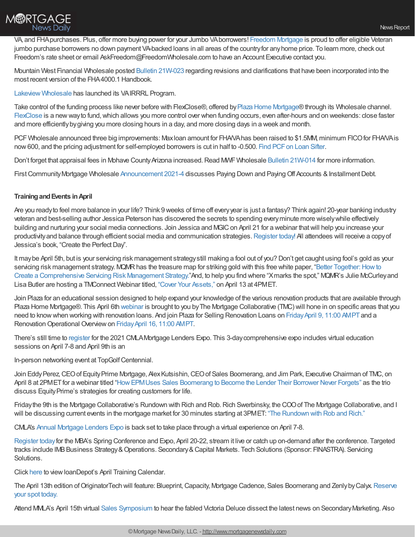

VA, and FHA purchases. Plus, offer more buying power for your Jumbo VA borrowers! Freedom [Mortgage](https://www.freedomwholesale.com/wps/portal/wholesale/vp/anonymous/resources/our-products/!ut/p/z1/hY5fC4IwFMU_Sw--urvUtN5GwUSFKINsL6GxpjGd6NKv36gIgv6ct3vP7xwOYihDrMmHSuS6Uk0uzX1gs6MzDwNMUkjWPnWAJGmE01WMp9hF-38AMzZ8EQGTZ3fk1UDDrQvEi3d0uQkBqP8EfnREiAmpisdc0hROIBDr-Jl3vLOvnXmXWrf9wgILxnG0hVJCcvukags-RUrVa5S9k6itM7h4ckjIZHIDlwr9tg!!/dz/d5/L2dJQSEvUUt3QS80TmxFL1o2XzM5SDgxQVMwTE84RzMwQUxRQ0I3NEwyME4y/) is proud to offer eligible Veteran jumbo purchase borrowers no down payment VA-backed loans in all areas of the countryfor anyhome price. To learn more, check out Freedom's rate sheet or email AskFreedom@FreedomWholesale.com to have an Account Executive contact you.

Mountain West Financial Wholesale posted Bulletin [21W-023](https://mwfwholesale.com/wp-content/uploads/2021/03/Wholesale-Bulletin-21W-023-4000.1-Handbook-Revisions-1.pdf) regarding revisions and clarifications that have been incorporated into the most recent version of the FHA4000.1 Handbook.

Lakeview [Wholesale](https://lakeviewwholesale.com/lakeview-programs/) has launched its VAIRRRL Program.

Take control of the funding process like never before with FlexClose®, offered by Plaza Home [Mortgage](http://plazahomemortgage.com/)®through its Wholesale channel. [FlexClose](https://www.firstfundingusa.com/flexclose/) is a newwayto fund,which allows you more control over when funding occurs, even after-hours and on weekends: close faster and more efficientlybygiving you more closing hours in a day, and more closing days in a week and month.

PCF Wholesale announced three big improvements: Maxloan amount for FHA/VA has been raised to \$1.5MM, minimum FICO for FHA/VA is now 600, and the pricing adjustment for self-employed borrowers is cut in half to -0.500. Find PCF on Loan Sifter.

Don't forget that appraisal fees in Mohave County Arizona increased. Read MWF Wholesale Bulletin [21W-014](https://mwfwholesale.com/wp-content/uploads/2021/02/Wholesale-Bulletin-21W-014-Increased-Appraisal-Fees-in-AZ.pdf) for more information.

First Community Mortgage Wholesale [Announcement](https://kc.fcmpartners.com/2021/03/2021-4-wholesale-announcement-paying-down-and-paying-off-accounts/) 2021-4 discusses Paying Down and Paying Off Accounts & Installment Debt.

#### **TrainingandEvents inApril**

Are you readyto feel more balance in your life? Think 9 weeks of time off everyyear is just a fantasy? Think again! 20-year banking industry veteran and best-selling author Jessica Peterson has discovered the secrets to spending everyminute more wiselywhile effectively building and nurturing your social media connections. Join Jessica and MGIC on April 21 for a webinar that will help you increase your productivity and balance through efficient social media and communication strategies. [Register](https://pages.mgic.com/2021-04-21_IncreaseProductivityBalance_Registration.html?utm_source=rc&utm_medium=ppc&utm_campaign=work-smarter&utm_content=text-email) today! All attendees will receive a copy of Jessica's book, "Create the PerfectDay".

It maybe April 5th, but is your servicing risk management strategystill making a fool out of you? Don't get caught using fool's gold as your servicing risk management strategy. MQMR has the treasure map for striking gold with this free white paper, "Better Together: How to Create a Comprehensive Servicing Risk Management Strategy."And, to help you find where "Xmarks the spot," MQMR's Julie McCurleyand Lisa Butler are hosting a TMConnect Webinar titled, "Cover Your [Assets,"](https://mtgcoop.zoom.us/webinar/register/WN_RSDQTlJ9TfuKdwDJA2M3rQ) on April 13 at 4PMET.

Join Plaza for an educational session designed to help expand your knowledge of the various renovation products that are available through Plaza Home Mortgage®. This April 6th [webinar](https://mtgcoop.zoom.us/webinar/register/WN_i6V7dIlVRUyZruzXtOhswg) is brought to you byThe Mortgage Collaborative (TMC) will hone in on specific areas that you need to know when working with renovation loans. And join Plaza for Selling Renovation Loans on Friday April 9, 11:00 AMPT and a Renovation Operational Overview on Friday April 16, 11:00 AMPT.

There's still time to [register](https://web.cvent.com/event/d7102a57-bd49-41c7-bd17-08b3451e45fd/) for the 2021 CMLAMortgage Lenders Expo. This 3-daycomprehensive expo includes virtual education sessions on April 7-8 and April 9th is an

In-person networking event at TopGolf Centennial.

Join EddyPerez,CEOof EquityPrime Mortgage, AlexKutsishin,CEOof Sales Boomerang, and Jim Park, Executive Chairman of TMC, on April 8 at 2PMET for a webinar titled "How EPMUses Sales Boomerang to Become the Lender Their Borrower Never Forgets" as the trio discuss EquityPrime's strategies for creating customers for life.

Friday the 9th is the Mortgage Collaborative's Rundown with Rich and Rob. Rich Swerbinsky, the COO of The Mortgage Collaborative, and I will be discussing current events in the mortgage market for 30 minutes starting at 3PMET: "The [Rundown](https://mtgcoop.zoom.us/webinar/register/WN_hOUDEqURT9m3mhKCJWRM-A) with Rob and Rich."

CMLA's Annual [Mortgage](https://web.cvent.com/event/d7102a57-bd49-41c7-bd17-08b3451e45fd/register?utm_campaign=website&utm_medium=email&utm_source=civicrm) Lenders Expo is back set to take place through a virtual experience on April 7-8.

[Register](https://na01.safelinks.protection.outlook.com/?url=https%253A%252F%252Fshare.plazahomemortgage.com%252Fe2t%252Ftc%252FVWfyTR2GMKNtW7wFBgz6YBqPCW6phD5r4pPDGDN5d8yPf5nxGrV3Zsc37CgF10W8SyfLM37qBChW93SDRr4BZy32VMSGCz4tgbpNN9j45v3nGcf3W6p8s4r1brm3KW6HMyZL3ptN_sW44yw6v1TF1FZVZJb003f27HDW3rt6Dx4dLZfZW4kGMtw4ynf7zW1qqQ_h3YQFH8W2PlL3s1g9d6PW4PsC5J31fdKbW7h0y2F2BjkSJV1Kb2Y3hgyJmN9079H0NFkC4W66dfjk43zR8SW2NlvMn5SNsCwW5bjM4_77kxBFW7MX7z55nPRQ5W7bjR086YC9tVW645r4T65s74xW82x0NF44FsvqW5RT8Sq7glct-N877FXdttrQVW89gYhN2B8Dz6W68yVl78-ZND_M1w_3FY8j6YW8-hDJR2sfxhgW80qjDq3gZxy9N3Q7CK1BsrTWW6GyXW13r0GfnW1hD6kh1CXn3sW6Pt7Db2VhtWc3f7L1&data=04%257C01%257C%257C53fefcec94da414a53e308d8f3a67e75%257C84df9e7fe9f640afb435aaaaaaaaaaaa%257C1%257C0%257C637527243697665806%257CUnknown%257CTWFpbGZsb3d8eyJWIjoiMC4wLjAwMDAiLCJQIjoiV2luMzIiLCJBTiI6Ik1haWwiLCJXVCI6Mn0%253D%257C1000&sdata=8h2gSTfB8PZUn%252FVTJrN5yjeBnVZBbAoiiY9rI5%252Ba7Fc%253D&reserved=0) todayfor the MBA's Spring Conference and Expo, April 20-22, stream it live or catch up on-demand after the conference. Targeted tracks include IMB Business Strategy & Operations. Secondary & Capital Markets. Tech Solutions (Sponsor: FINASTRA). Servicing Solutions.

Click [here](https://na01.safelinks.protection.outlook.com/?url=http%253A%252F%252Fld.ldwholesale.com%252Fls%252Fclick%253Fupn%253DaYbu09plc4IntLDN6X2n-2BhAgA1zA8YVy3iKdaEaWxH6YUcEJIteMOsIFEDkSjRk1Jf2e31zH0vDFYVi6Z4r8cLLnCW5-2BRa-2F8NmrNXX-2F0jf0-3Du0ev_nsxRNYUkMXYB3IyH-2Bw28TYELoM9YpzOtXrrlppkfzFjGpZbwd0bLMcf2RIKlkpDj8an67hu45aN5BSGwVgo7a0ZM2GCYz2JSj5p83DuqIe7ny7OI4Dm90vH-2BnMcwzLEDhIcTxtrH7kuFyR6rvHb1cJU9T7R48zkHjzCnKR78D-2B25Cz-2FYZwx0ukvzeE8jYCjrTFNBEbrHd76edIzS8rd-2BfAul1iaWKd46ntd8LXbeZ4VXyqcBJCL8sCtm7TVxAat57krnZA4E9Fow7pbAbeU8Weywdo2eABt84y8G2jE-2BJrYwJcpeAbuwG2mYVO3kttQbVzMHcyt-2F254LRMUt8eOhSVxMyksk1my5xXFE3rhX5VD9xnbgNaHWXhCiVPsd45kk2JMQsdF-2B2qUP0-2B8gD3zBLvfIfOPZXwB6uWU3WvGMyqI8JGl5sOGm1YrYnqwXV7wuCxebOOqUw5XDtgDxUFeKpPM1GmAHapBDR4m6I4CzfL4-3D&data=04%257C01%257C%257Cb37039f3b62e46fb186b08d8f3a2cb90%257C84df9e7fe9f640afb435aaaaaaaaaaaa%257C1%257C0%257C637527227810041231%257CUnknown%257CTWFpbGZsb3d8eyJWIjoiMC4wLjAwMDAiLCJQIjoiV2luMzIiLCJBTiI6Ik1haWwiLCJXVCI6Mn0%253D%257C1000&sdata=cjNiXU6zsNfIgO1w7bZ6QWao6ctVAHvJiS7kkba%252BTF0%253D&reserved=0) to view loanDepot's April Training Calendar.

The April 13th edition of OriginatorTech will feature: Blueprint, Capacity, Mortgage Cadence, Sales Boomerang and Zenlyby Calyx. Reserve your spot today.

Attend MVLA's April 15th virtual Sales [Symposium](https://www.mmla.net/events/sales-symposium?lsid=0&msid=123860) to hear the fabled Victoria Deluce dissect the latest news on Secondary Marketing. Also